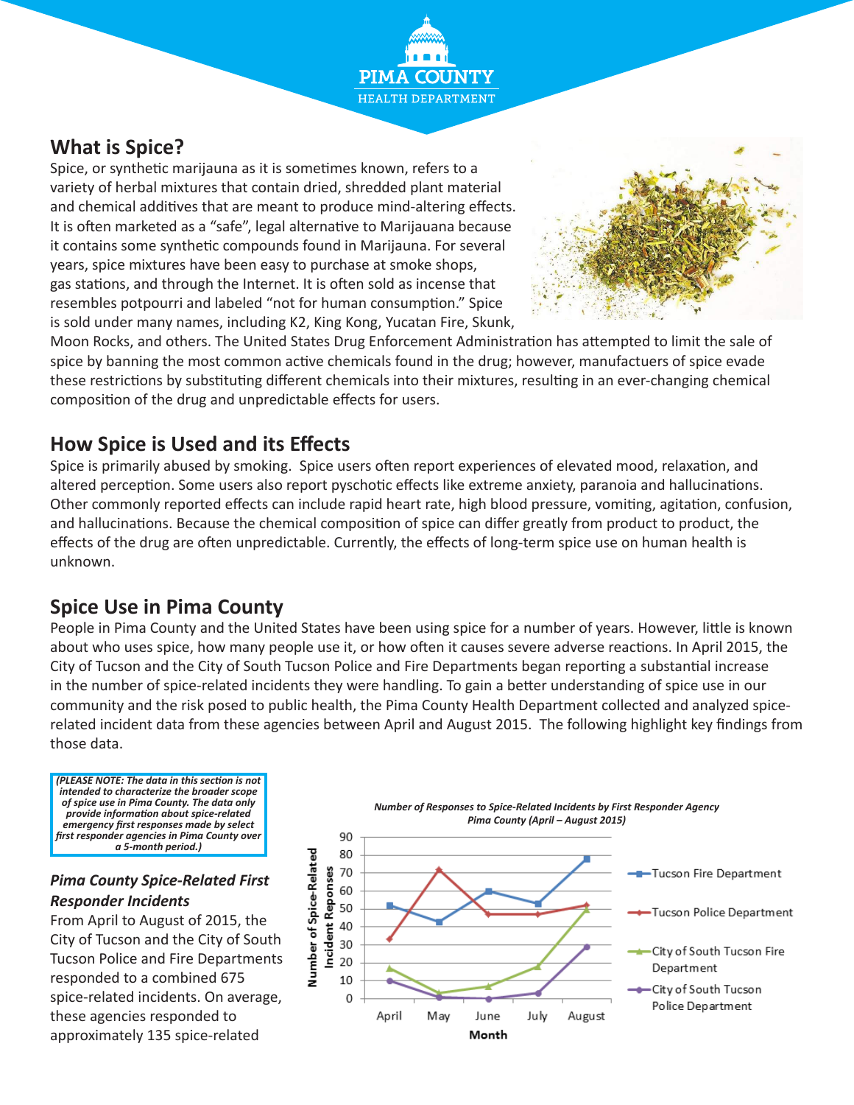**PIMA COU** HEALTH DEPARTMENT

## **What is Spice?**

Spice, or synthetic marijauna as it is sometimes known, refers to a variety of herbal mixtures that contain dried, shredded plant material and chemical additives that are meant to produce mind-altering effects. It is often marketed as a "safe", legal alternative to Marijauana because it contains some synthetic compounds found in Marijauna. For several years, spice mixtures have been easy to purchase at smoke shops, gas stations, and through the Internet. It is often sold as incense that resembles potpourri and labeled "not for human consumption." Spice is sold under many names, including K2, King Kong, Yucatan Fire, Skunk,



Moon Rocks, and others. The United States Drug Enforcement Administration has attempted to limit the sale of spice by banning the most common active chemicals found in the drug; however, manufactuers of spice evade these restrictions by substituting different chemicals into their mixtures, resulting in an ever-changing chemical composition of the drug and unpredictable effects for users.

### **How Spice is Used and its Effects**

Spice is primarily abused by smoking. Spice users often report experiences of elevated mood, relaxation, and altered perception. Some users also report pyschotic effects like extreme anxiety, paranoia and hallucinations. Other commonly reported effects can include rapid heart rate, high blood pressure, vomiting, agitation, confusion, and hallucinations. Because the chemical composition of spice can differ greatly from product to product, the effects of the drug are often unpredictable. Currently, the effects of long-term spice use on human health is unknown.

## **Spice Use in Pima County**

People in Pima County and the United States have been using spice for a number of years. However, little is known about who uses spice, how many people use it, or how often it causes severe adverse reactions. In April 2015, the City of Tucson and the City of South Tucson Police and Fire Departments began reporting a substantial increase in the number of spice-related incidents they were handling. To gain a better understanding of spice use in our community and the risk posed to public health, the Pima County Health Department collected and analyzed spicerelated incident data from these agencies between April and August 2015. The following highlight key findings from those data.

*(PLEASE NOTE: The data in this section is not intended to characterize the broader scope of spice use in Pima County. The data only provide information about spice-related emergency first responses made by select first responder agencies in Pima County over a 5-month period.)* 

#### *Pima County Spice-Related First Responder Incidents*

From April to August of 2015, the City of Tucson and the City of South Tucson Police and Fire Departments responded to a combined 675 spice-related incidents. On average, these agencies responded to approximately 135 spice-related